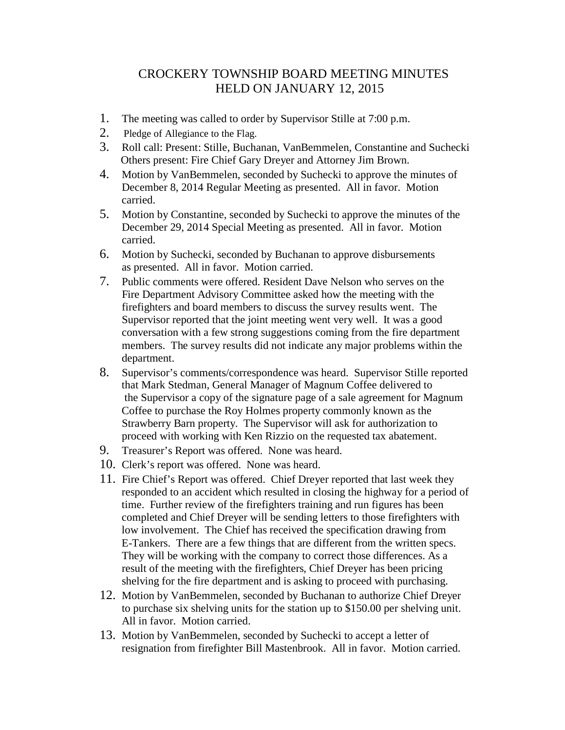## CROCKERY TOWNSHIP BOARD MEETING MINUTES HELD ON JANUARY 12, 2015

- 1. The meeting was called to order by Supervisor Stille at 7:00 p.m.
- 2. Pledge of Allegiance to the Flag.
- 3. Roll call: Present: Stille, Buchanan, VanBemmelen, Constantine and Suchecki Others present: Fire Chief Gary Dreyer and Attorney Jim Brown.
- 4. Motion by VanBemmelen, seconded by Suchecki to approve the minutes of December 8, 2014 Regular Meeting as presented. All in favor. Motion carried.
- 5. Motion by Constantine, seconded by Suchecki to approve the minutes of the December 29, 2014 Special Meeting as presented. All in favor. Motion carried.
- 6. Motion by Suchecki, seconded by Buchanan to approve disbursements as presented. All in favor. Motion carried.
- 7. Public comments were offered. Resident Dave Nelson who serves on the Fire Department Advisory Committee asked how the meeting with the firefighters and board members to discuss the survey results went. The Supervisor reported that the joint meeting went very well. It was a good conversation with a few strong suggestions coming from the fire department members. The survey results did not indicate any major problems within the department.
- 8. Supervisor's comments/correspondence was heard. Supervisor Stille reported that Mark Stedman, General Manager of Magnum Coffee delivered to the Supervisor a copy of the signature page of a sale agreement for Magnum Coffee to purchase the Roy Holmes property commonly known as the Strawberry Barn property. The Supervisor will ask for authorization to proceed with working with Ken Rizzio on the requested tax abatement.
- 9. Treasurer's Report was offered. None was heard.
- 10. Clerk's report was offered. None was heard.
- 11. Fire Chief's Report was offered. Chief Dreyer reported that last week they responded to an accident which resulted in closing the highway for a period of time. Further review of the firefighters training and run figures has been completed and Chief Dreyer will be sending letters to those firefighters with low involvement. The Chief has received the specification drawing from E-Tankers. There are a few things that are different from the written specs. They will be working with the company to correct those differences. As a result of the meeting with the firefighters, Chief Dreyer has been pricing shelving for the fire department and is asking to proceed with purchasing.
- 12. Motion by VanBemmelen, seconded by Buchanan to authorize Chief Dreyer to purchase six shelving units for the station up to \$150.00 per shelving unit. All in favor. Motion carried.
- 13. Motion by VanBemmelen, seconded by Suchecki to accept a letter of resignation from firefighter Bill Mastenbrook. All in favor. Motion carried.